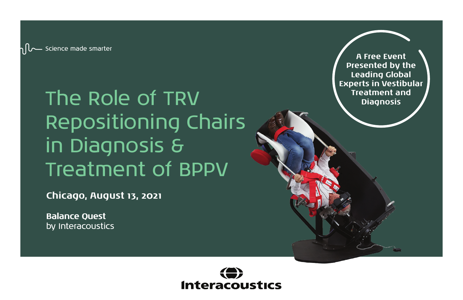The Role of TRV Repositioning Chairs in Diagnosis & Treatment of BPPV

**Chicago, August 13, 2021**

**Balance Quest** by Interacoustics



**A Free Event Presented by the Leading Global Experts in Vestibular Treatment and Diagnosis**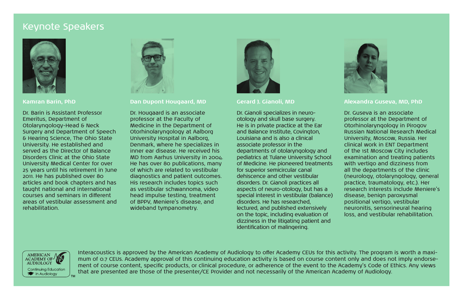### Keynote Speakers



#### **Kamran Barin, PhD**

Dr. Barin is Assistant Professor Emeritus, Department of Otolaryngology-Head & Neck Surgery and Department of Speech & Hearing Science, The Ohio State University. He established and served as the Director of Balance Disorders Clinic at the Ohio State University Medical Center for over 25 years until his retirement in June 2011. He has published over 80 articles and book chapters and has taught national and international courses and seminars in different areas of vestibular assessment and rehabilitation.



### **Dan Dupont Hougaard, MD**

Dr. Hougaard is an associate professor at the Faculty of Medicine in the Department of Otorhinolaryngology at Aalborg University Hospital in Aalborg, Denmark, where he specializes in inner ear disease. He received his MD from Aarhus University in 2004. He has over 80 publications, many of which are related to vestibular diagnostics and patient outcomes. His research includes topics such as vestibular schwannoma, video head impulse testing, treatment of BPPV, Meniere's disease, and wideband tympanometry.



#### **Gerard J. Gianoli, MD**

Dr. Gianoli specializes in neurootology and skull base surgery. He is in private practice at the Ear and Balance Institute, Covington, Louisiana and is also a clinical associate professor in the departments of otolaryngology and pediatrics at Tulane University School of Medicine. He pioneered treatments for superior semicircular canal dehiscence and other vestibular disorders. Dr. Gianoli practices all aspects of neuro-otology, but has a special interest in vestibular (balance) disorders. He has researched, lectured, and published extensively on the topic, including evaluation of dizziness in the litigating patient and identification of malingering.



### **Alexandra Guseva, MD, PhD**

Dr. Guseva is an associate professor at the Department of Otorhinolaryngology in Pirogov Russian National Research Medical University, Moscow, Russia. Her clinical work in ENT Department of the 1st Moscow City includes examination and treating patients with vertigo and dizziness from all the departments of the clinic (neurology, otolaryngology, general practice, traumatology, etc.). Her research interests include Meniere's disease, benign paroxysmal positional vertigo, vestibular neuronitis, sensorineural hearing loss, and vestibular rehabilitation.



Interacoustics is approved by the American Academy of Audiology to offer Academy CEUs for this activity. The program is worth a maximum of 0.7 CEUs. Academy approval of this continuing education activity is based on course content only and does not imply endorsement of course content, specific products, or clinical procedure, or adherence of the event to the Academy's Code of Ethics. Any views that are presented are those of the presenter/CE Provider and not necessarily of the American Academy of Audiology.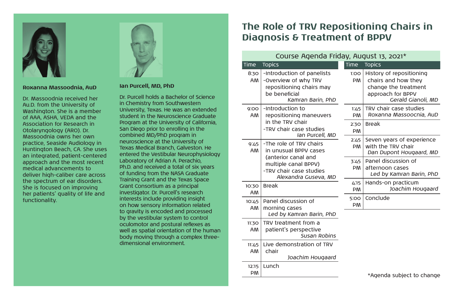

#### **Roxanna Massoodnia, AuD**

Dr. Massoodnia received her Au.D. from the University of Washington. She is a member of AAA, ASHA, VEDA and the Association for Research in Otolaryngology (ARO). Dr. Massoodnia owns her own practice, Seaside Audiology in Huntington Beach, CA. She uses an integrated, patient-centered approach and the most recent medical advancements to deliver high-caliber care across the spectrum of ear disorders. She is focused on improving her patients' quality of life and functionality.



### **Ian Purcell, MD, PhD**

Dr. Purcell holds a Bachelor of Science in Chemistry from Southwestern University, Texas. He was an extended student in the Neuroscience Graduate Program at the University of California, San Diego prior to enrolling in the combined MD/PhD program in neuroscience at the University of Texas Medical Branch, Galveston. He entered the Vestibular Neurophysiology Laboratory of Adrian A. Perachio, Ph.D. and received a total of six years of funding from the NASA Graduate Training Grant and the Texas Space Grant Consortium as a principal investigator. Dr. Purcell's research interests include providing insight on how sensory information related to gravity is encoded and processed by the vestibular system to control oculomotor and postural reflexes as well as spatial orientation of the human body moving through a complex threedimensional environment.

12:15 Lunch PM

### **The Role of TRV Repositioning Chairs in Diagnosis & Treatment of BPPV**

| Course Agenda Friday, August 13, 2021* |                                                                                                                      |                   |                                                                                                                    |
|----------------------------------------|----------------------------------------------------------------------------------------------------------------------|-------------------|--------------------------------------------------------------------------------------------------------------------|
| Time                                   | <b>Topics</b>                                                                                                        | Time              | <b>Topics</b>                                                                                                      |
| 8:30<br>AM                             | -Introduction of panelists<br>-Overview of why TRV<br>repositioning chairs may<br>be beneficial<br>Kamran Barin, PhD | 1:OO<br><b>PM</b> | History of repositioning<br>chairs and how they<br>change the treatment<br>approach for BPPV<br>Gerald Gianoli, MD |
| 9:00<br><b>AM</b>                      | -Introduction to<br>repositioning maneuvers<br>in the TRV chair<br>-TRV chair case studies<br>Ian Purcell, MD        | 1:45<br><b>PM</b> | TRV chair case studies<br>Roxanna Massoocnia, AuD                                                                  |
|                                        |                                                                                                                      | 2.30<br><b>PM</b> | <b>Break</b>                                                                                                       |
| 9:45<br>AM                             | -The role of TRV chairs<br>in unusual BPPV cases                                                                     | 2:45<br><b>PM</b> | Seven years of experience<br>with the TRV chair<br>Dan Dupont Hougaard, MD                                         |
|                                        | (anterior canal and<br>multiple canal BPPV)<br>-TRV chair case studies<br>Alexandra Guseva, MD                       | 3:45<br><b>PM</b> | Panel discussion of<br>afternoon cases<br>Led by Kamran Barin, PhD                                                 |
| 10.30<br><b>AM</b>                     | <b>Break</b>                                                                                                         | 4.15<br>PM        | Hands-on practicum<br>Joachim Hougaard                                                                             |
| 10:45<br><b>AM</b>                     | Panel discussion of<br>morning cases                                                                                 | 5:00<br>PM        | Conclude                                                                                                           |
|                                        | Led by Kamran Barin, PhD                                                                                             |                   |                                                                                                                    |
| 11:30<br><b>AM</b>                     | TRV treatment from a<br>patient's perspective<br>Susan Robins                                                        |                   |                                                                                                                    |
| 11:45<br>AM                            | Live demonstration of TRV<br>chair                                                                                   |                   |                                                                                                                    |

*Joachim Hougaard*

\*Agenda subject to change